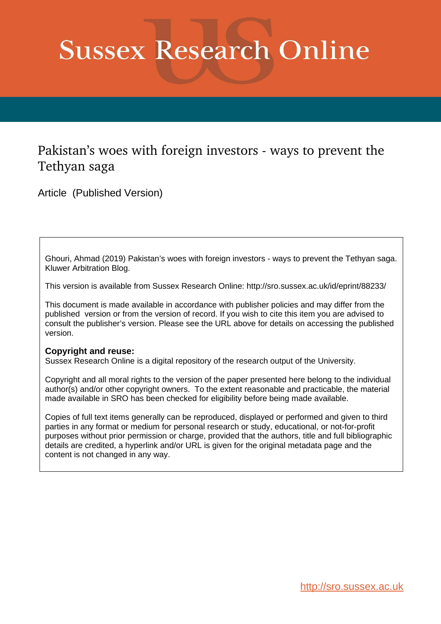# **Sussex Research Online**

### Pakistan's woes with foreign investors - ways to prevent the Tethyan saga

Article (Published Version)

Ghouri, Ahmad (2019) Pakistan's woes with foreign investors - ways to prevent the Tethyan saga. Kluwer Arbitration Blog.

This version is available from Sussex Research Online: http://sro.sussex.ac.uk/id/eprint/88233/

This document is made available in accordance with publisher policies and may differ from the published version or from the version of record. If you wish to cite this item you are advised to consult the publisher's version. Please see the URL above for details on accessing the published version.

#### **Copyright and reuse:**

Sussex Research Online is a digital repository of the research output of the University.

Copyright and all moral rights to the version of the paper presented here belong to the individual author(s) and/or other copyright owners. To the extent reasonable and practicable, the material made available in SRO has been checked for eligibility before being made available.

Copies of full text items generally can be reproduced, displayed or performed and given to third parties in any format or medium for personal research or study, educational, or not-for-profit purposes without prior permission or charge, provided that the authors, title and full bibliographic details are credited, a hyperlink and/or URL is given for the original metadata page and the content is not changed in any way.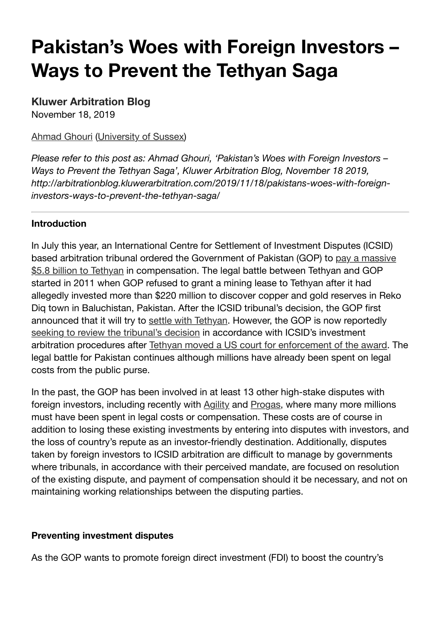## **Pakistan's Woes with Foreign Investors – Ways to Prevent the Tethyan Saga**

#### **Kluwer Arbitration Blog**

November 18, 2019

#### Ahmad Ghouri (University of Sussex)

*Please refer to this post as: Ahmad Ghouri, 'Pakistan's Woes with Foreign Investors – Ways to Prevent the Tethyan Saga', Kluwer Arbitration Blog, November 18 2019, http://arbitrationblog.kluwerarbitration.com/2019/11/18/pakistans-woes-with-foreigninvestors-ways-to-prevent-the-tethyan-saga/*

#### **Introduction**

In July this year, an International Centre for Settlement of Investment Disputes (ICSID) based arbitration tribunal ordered the Government of Pakistan (GOP) to pay a massive \$5.8 billion to Tethyan in compensation. The legal battle between Tethyan and GOP started in 2011 when GOP refused to grant a mining lease to Tethyan after it had allegedly invested more than \$220 million to discover copper and gold reserves in Reko Diq town in Baluchistan, Pakistan. After the ICSID tribunal's decision, the GOP first announced that it will try to settle with Tethyan. However, the GOP is now reportedly seeking to review the tribunal's decision in accordance with ICSID's investment arbitration procedures after Tethyan moved a US court for enforcement of the award. The legal battle for Pakistan continues although millions have already been spent on legal costs from the public purse.

In the past, the GOP has been involved in at least 13 other high-stake disputes with foreign investors, including recently with Agility and Progas, where many more millions must have been spent in legal costs or compensation. These costs are of course in addition to losing these existing investments by entering into disputes with investors, and the loss of country's repute as an investor-friendly destination. Additionally, disputes taken by foreign investors to ICSID arbitration are difficult to manage by governments where tribunals, in accordance with their perceived mandate, are focused on resolution of the existing dispute, and payment of compensation should it be necessary, and not on maintaining working relationships between the disputing parties.

#### **Preventing investment disputes**

As the GOP wants to promote foreign direct investment (FDI) to boost the country's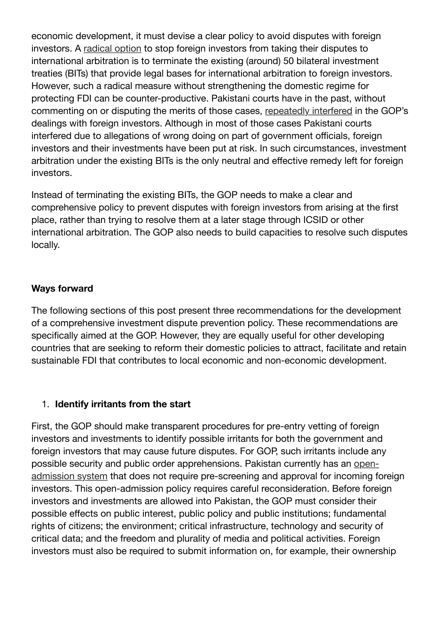economic development, it must devise a clear policy to avoid disputes with foreign investors. A radical option to stop foreign investors from taking their disputes to international arbitration is to terminate the existing (around) 50 bilateral investment treaties (BITs) that provide legal bases for international arbitration to foreign investors. However, such a radical measure without strengthening the domestic regime for protecting FDI can be counter-productive. Pakistani courts have in the past, without commenting on or disputing the merits of those cases, repeatedly interfered in the GOP's dealings with foreign investors. Although in most of those cases Pakistani courts interfered due to allegations of wrong doing on part of government officials, foreign investors and their investments have been put at risk. In such circumstances, investment arbitration under the existing BITs is the only neutral and effective remedy left for foreign investors.

Instead of terminating the existing BITs, the GOP needs to make a clear and comprehensive policy to prevent disputes with foreign investors from arising at the first place, rather than trying to resolve them at a later stage through ICSID or other international arbitration. The GOP also needs to build capacities to resolve such disputes locally.

#### **Ways forward**

The following sections of this post present three recommendations for the development of a comprehensive investment dispute prevention policy. These recommendations are specifically aimed at the GOP. However, they are equally useful for other developing countries that are seeking to reform their domestic policies to attract, facilitate and retain sustainable FDI that contributes to local economic and non-economic development.

#### 1. **Identify irritants from the start**

First, the GOP should make transparent procedures for pre-entry vetting of foreign investors and investments to identify possible irritants for both the government and foreign investors that may cause future disputes. For GOP, such irritants include any possible security and public order apprehensions. Pakistan currently has an openadmission system that does not require pre-screening and approval for incoming foreign investors. This open-admission policy requires careful reconsideration. Before foreign investors and investments are allowed into Pakistan, the GOP must consider their possible effects on public interest, public policy and public institutions; fundamental rights of citizens; the environment; critical infrastructure, technology and security of critical data; and the freedom and plurality of media and political activities. Foreign investors must also be required to submit information on, for example, their ownership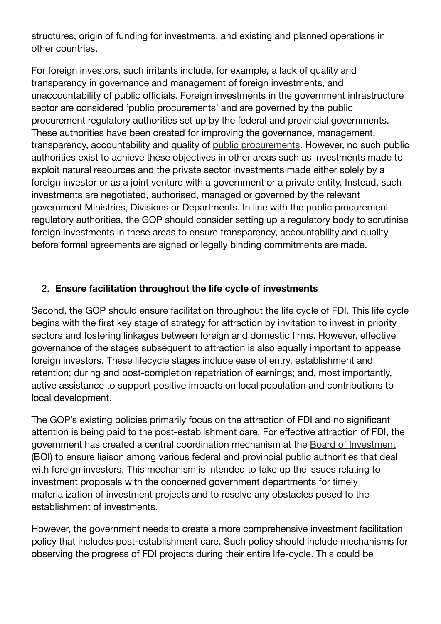structures, origin of funding for investments, and existing and planned operations in other countries.

For foreign investors, such irritants include, for example, a lack of quality and transparency in governance and management of foreign investments, and unaccountability of public officials. Foreign investments in the government infrastructure sector are considered 'public procurements' and are governed by the public procurement regulatory authorities set up by the federal and provincial governments. These authorities have been created for improving the governance, management, transparency, accountability and quality of public procurements. However, no such public authorities exist to achieve these objectives in other areas such as investments made to exploit natural resources and the private sector investments made either solely by a foreign investor or as a joint venture with a government or a private entity. Instead, such investments are negotiated, authorised, managed or governed by the relevant government Ministries, Divisions or Departments. In line with the public procurement regulatory authorities, the GOP should consider setting up a regulatory body to scrutinise foreign investments in these areas to ensure transparency, accountability and quality before formal agreements are signed or legally binding commitments are made.

#### 2. **Ensure facilitation throughout the life cycle of investments**

Second, the GOP should ensure facilitation throughout the life cycle of FDI. This life cycle begins with the first key stage of strategy for attraction by invitation to invest in priority sectors and fostering linkages between foreign and domestic firms. However, effective governance of the stages subsequent to attraction is also equally important to appease foreign investors. These lifecycle stages include ease of entry, establishment and retention; during and post-completion repatriation of earnings; and, most importantly, active assistance to support positive impacts on local population and contributions to local development.

The GOP's existing policies primarily focus on the attraction of FDI and no significant attention is being paid to the post-establishment care. For effective attraction of FDI, the government has created a central coordination mechanism at the Board of Investment (BOI) to ensure liaison among various federal and provincial public authorities that deal with foreign investors. This mechanism is intended to take up the issues relating to investment proposals with the concerned government departments for timely materialization of investment projects and to resolve any obstacles posed to the establishment of investments.

However, the government needs to create a more comprehensive investment facilitation policy that includes post-establishment care. Such policy should include mechanisms for observing the progress of FDI projects during their entire life-cycle. This could be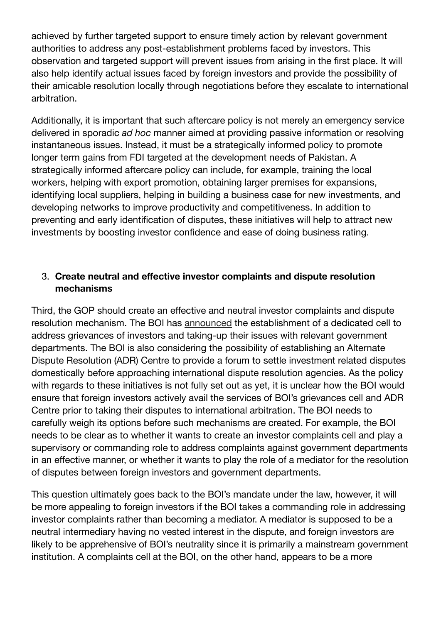achieved by further targeted support to ensure timely action by relevant government authorities to address any post-establishment problems faced by investors. This observation and targeted support will prevent issues from arising in the first place. It will also help identify actual issues faced by foreign investors and provide the possibility of their amicable resolution locally through negotiations before they escalate to international arbitration.

Additionally, it is important that such aftercare policy is not merely an emergency service delivered in sporadic *ad hoc* manner aimed at providing passive information or resolving instantaneous issues. Instead, it must be a strategically informed policy to promote longer term gains from FDI targeted at the development needs of Pakistan. A strategically informed aftercare policy can include, for example, training the local workers, helping with export promotion, obtaining larger premises for expansions, identifying local suppliers, helping in building a business case for new investments, and developing networks to improve productivity and competitiveness. In addition to preventing and early identification of disputes, these initiatives will help to attract new investments by boosting investor confidence and ease of doing business rating.

#### 3. **Create neutral and effective investor complaints and dispute resolution mechanisms**

Third, the GOP should create an effective and neutral investor complaints and dispute resolution mechanism. The BOI has announced the establishment of a dedicated cell to address grievances of investors and taking-up their issues with relevant government departments. The BOI is also considering the possibility of establishing an Alternate Dispute Resolution (ADR) Centre to provide a forum to settle investment related disputes domestically before approaching international dispute resolution agencies. As the policy with regards to these initiatives is not fully set out as yet, it is unclear how the BOI would ensure that foreign investors actively avail the services of BOI's grievances cell and ADR Centre prior to taking their disputes to international arbitration. The BOI needs to carefully weigh its options before such mechanisms are created. For example, the BOI needs to be clear as to whether it wants to create an investor complaints cell and play a supervisory or commanding role to address complaints against government departments in an effective manner, or whether it wants to play the role of a mediator for the resolution of disputes between foreign investors and government departments.

This question ultimately goes back to the BOI's mandate under the law, however, it will be more appealing to foreign investors if the BOI takes a commanding role in addressing investor complaints rather than becoming a mediator. A mediator is supposed to be a neutral intermediary having no vested interest in the dispute, and foreign investors are likely to be apprehensive of BOI's neutrality since it is primarily a mainstream government institution. A complaints cell at the BOI, on the other hand, appears to be a more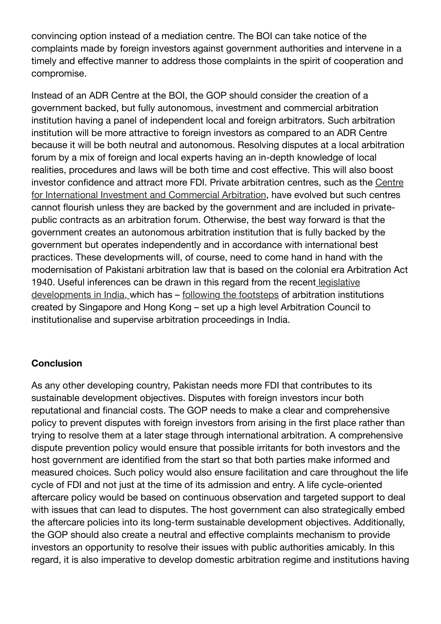convincing option instead of a mediation centre. The BOI can take notice of the complaints made by foreign investors against government authorities and intervene in a timely and effective manner to address those complaints in the spirit of cooperation and compromise.

Instead of an ADR Centre at the BOI, the GOP should consider the creation of a government backed, but fully autonomous, investment and commercial arbitration institution having a panel of independent local and foreign arbitrators. Such arbitration institution will be more attractive to foreign investors as compared to an ADR Centre because it will be both neutral and autonomous. Resolving disputes at a local arbitration forum by a mix of foreign and local experts having an in-depth knowledge of local realities, procedures and laws will be both time and cost effective. This will also boost investor confidence and attract more FDI. Private arbitration centres, such as the Centre for International Investment and Commercial Arbitration, have evolved but such centres cannot flourish unless they are backed by the government and are included in privatepublic contracts as an arbitration forum. Otherwise, the best way forward is that the government creates an autonomous arbitration institution that is fully backed by the government but operates independently and in accordance with international best practices. These developments will, of course, need to come hand in hand with the modernisation of Pakistani arbitration law that is based on the colonial era Arbitration Act 1940. Useful inferences can be drawn in this regard from the recent legislative developments in India, which has – following the footsteps of arbitration institutions created by Singapore and Hong Kong – set up a high level Arbitration Council to institutionalise and supervise arbitration proceedings in India.

#### **Conclusion**

As any other developing country, Pakistan needs more FDI that contributes to its sustainable development objectives. Disputes with foreign investors incur both reputational and financial costs. The GOP needs to make a clear and comprehensive policy to prevent disputes with foreign investors from arising in the first place rather than trying to resolve them at a later stage through international arbitration. A comprehensive dispute prevention policy would ensure that possible irritants for both investors and the host government are identified from the start so that both parties make informed and measured choices. Such policy would also ensure facilitation and care throughout the life cycle of FDI and not just at the time of its admission and entry. A life cycle-oriented aftercare policy would be based on continuous observation and targeted support to deal with issues that can lead to disputes. The host government can also strategically embed the aftercare policies into its long-term sustainable development objectives. Additionally, the GOP should also create a neutral and effective complaints mechanism to provide investors an opportunity to resolve their issues with public authorities amicably. In this regard, it is also imperative to develop domestic arbitration regime and institutions having